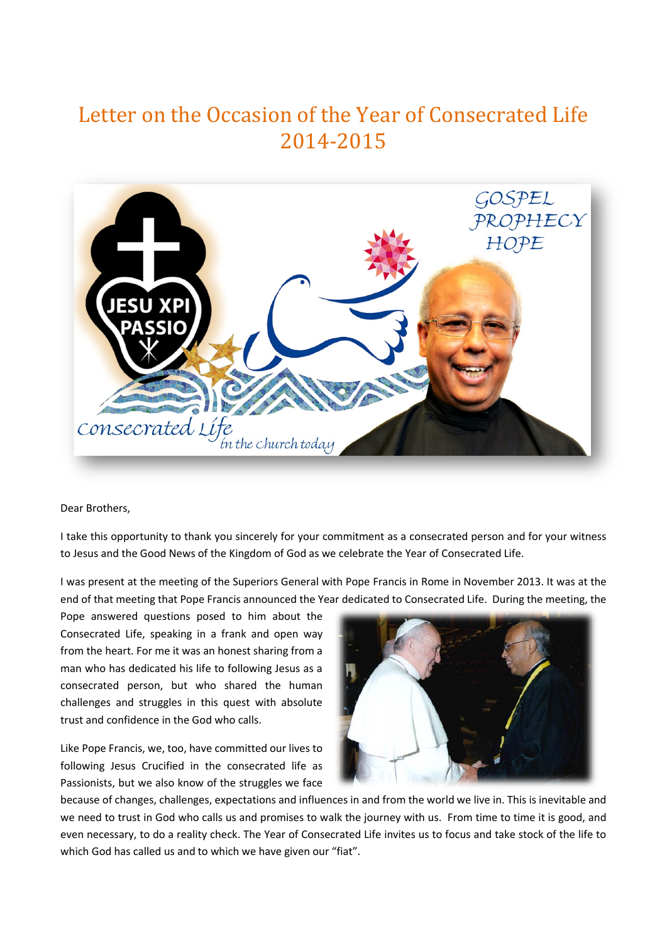## Letter on the Occasion of the Year of Consecrated Life 2014-2015



Dear Brothers,

I take this opportunity to thank you sincerely for your commitment as a consecrated person and for your witness to Jesus and the Good News of the Kingdom of God as we celebrate the Year of Consecrated Life.

I was present at the meeting of the Superiors General with Pope Francis in Rome in November 2013. It was at the end of that meeting that Pope Francis announced the Year dedicated to Consecrated Life. During the meeting, the

Pope answered questions posed to him about the Consecrated Life, speaking in a frank and open way from the heart. For me it was an honest sharing from a man who has dedicated his life to following Jesus as a consecrated person, but who shared the human challenges and struggles in this quest with absolute trust and confidence in the God who calls.

Like Pope Francis, we, too, have committed our lives to following Jesus Crucified in the consecrated life as Passionists, but we also know of the struggles we face



because of changes, challenges, expectations and influences in and from the world we live in. This is inevitable and we need to trust in God who calls us and promises to walk the journey with us. From time to time it is good, and even necessary, to do a reality check. The Year of Consecrated Life invites us to focus and take stock of the life to which God has called us and to which we have given our "fiat".